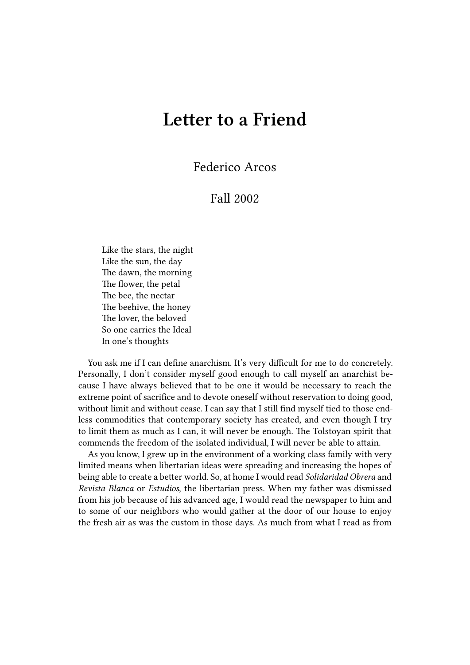## **Letter to a Friend**

Federico Arcos

## Fall 2002

Like the stars, the night Like the sun, the day The dawn, the morning The flower, the petal The bee, the nectar The beehive, the honey The lover, the beloved So one carries the Ideal In one's thoughts

You ask me if I can define anarchism. It's very difficult for me to do concretely. Personally, I don't consider myself good enough to call myself an anarchist because I have always believed that to be one it would be necessary to reach the extreme point of sacrifice and to devote oneself without reservation to doing good, without limit and without cease. I can say that I still find myself tied to those endless commodities that contemporary society has created, and even though I try to limit them as much as I can, it will never be enough. The Tolstoyan spirit that commends the freedom of the isolated individual, I will never be able to attain.

As you know, I grew up in the environment of a working class family with very limited means when libertarian ideas were spreading and increasing the hopes of being able to create a better world. So, at home I would read *Solidaridad Obrera* and *Revista Blanca* or *Estudios*, the libertarian press. When my father was dismissed from his job because of his advanced age, I would read the newspaper to him and to some of our neighbors who would gather at the door of our house to enjoy the fresh air as was the custom in those days. As much from what I read as from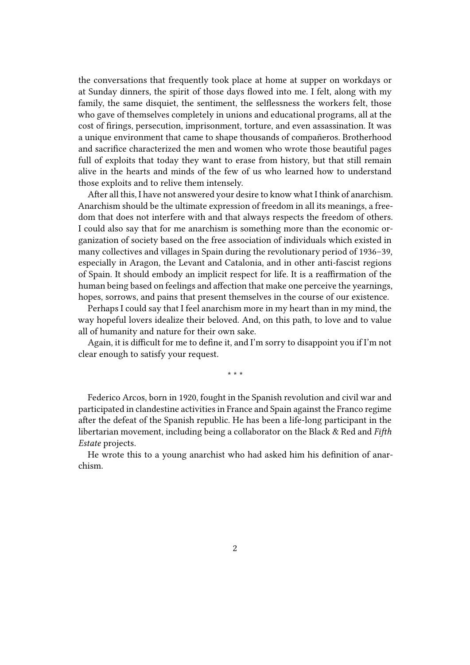the conversations that frequently took place at home at supper on workdays or at Sunday dinners, the spirit of those days flowed into me. I felt, along with my family, the same disquiet, the sentiment, the selflessness the workers felt, those who gave of themselves completely in unions and educational programs, all at the cost of firings, persecution, imprisonment, torture, and even assassination. It was a unique environment that came to shape thousands of compañeros. Brotherhood and sacrifice characterized the men and women who wrote those beautiful pages full of exploits that today they want to erase from history, but that still remain alive in the hearts and minds of the few of us who learned how to understand those exploits and to relive them intensely.

After all this, I have not answered your desire to know what I think of anarchism. Anarchism should be the ultimate expression of freedom in all its meanings, a freedom that does not interfere with and that always respects the freedom of others. I could also say that for me anarchism is something more than the economic organization of society based on the free association of individuals which existed in many collectives and villages in Spain during the revolutionary period of 1936–39, especially in Aragon, the Levant and Catalonia, and in other anti-fascist regions of Spain. It should embody an implicit respect for life. It is a reaffirmation of the human being based on feelings and affection that make one perceive the yearnings, hopes, sorrows, and pains that present themselves in the course of our existence.

Perhaps I could say that I feel anarchism more in my heart than in my mind, the way hopeful lovers idealize their beloved. And, on this path, to love and to value all of humanity and nature for their own sake.

Again, it is difficult for me to define it, and I'm sorry to disappoint you if I'm not clear enough to satisfy your request.

\* \* \*

Federico Arcos, born in 1920, fought in the Spanish revolution and civil war and participated in clandestine activities in France and Spain against the Franco regime after the defeat of the Spanish republic. He has been a life-long participant in the libertarian movement, including being a collaborator on the Black & Red and *Fifth Estate* projects.

He wrote this to a young anarchist who had asked him his definition of anarchism.